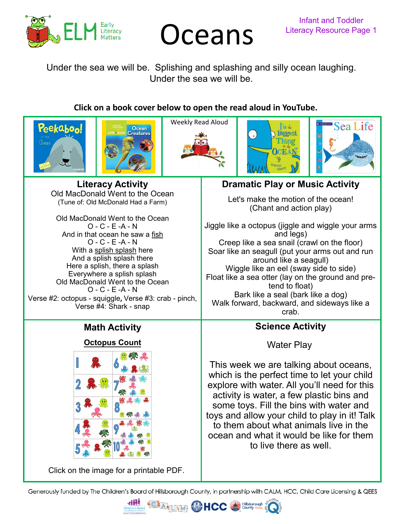

# **Oceans** Literacy Resource Page 1

Under the sea we will be. Splishing and splashing and silly ocean laughing. Under the sea we will be.

# **Click on a book cover below to open the read aloud in YouTube.**











**Literacy Activity** Old MacDonald Went to the Ocean (Tune of: Old McDonald Had a Farm)

Old MacDonald Went to the Ocean O - C - E -A - N And in that ocean he saw a fish O - C - E -A - N With a splish splash here And a splish splash there Here a splish, there a splash Everywhere a splish splash Old MacDonald Went to the Ocean O - C - E -A - N Verse #2: octopus - squiggle**,** Verse #3: crab - pinch, Verse #4: Shark - snap

# **Math Activity**

# **[Octopus Count](https://26d1cb60-a951-4721-b330-1bf8fd66c702.filesusr.com/ugd/6d6c33_d509714a1ef54b918b3c4e0598f5eaaf.pdf)**



[Click on the image for a printable PDF.](https://26d1cb60-a951-4721-b330-1bf8fd66c702.filesusr.com/ugd/6d6c33_d509714a1ef54b918b3c4e0598f5eaaf.pdf)

**Dramatic Play or Music Activity**

Let's make the motion of the ocean! (Chant and action play)

Jiggle like a octopus (jiggle and wiggle your arms and legs) Creep like a sea snail (crawl on the floor) Soar like an seagull (put your arms out and run around like a seagull) Wiggle like an eel (sway side to side) Float like a sea otter (lay on the ground and pretend to float) Bark like a seal (bark like a dog) Walk forward, backward, and sideways like a crab.

# **Science Activity**

Water Play

This week we are talking about oceans, which is the perfect time to let your child explore with water. All you'll need for this activity is water, a few plastic bins and some toys. Fill the bins with water and toys and allow your child to play in it! Talk to them about what animals live in the ocean and what it would be like for them to live there as well.

Generously funded by The Children's Board of Hillsborough County, in partnership with CALM, HCC, Child Care Licensing & QEES